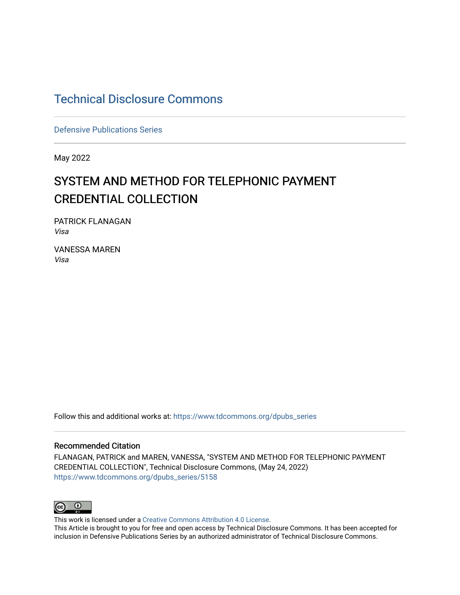## [Technical Disclosure Commons](https://www.tdcommons.org/)

[Defensive Publications Series](https://www.tdcommons.org/dpubs_series)

May 2022

# SYSTEM AND METHOD FOR TELEPHONIC PAYMENT CREDENTIAL COLLECTION

PATRICK FLANAGAN Visa

VANESSA MAREN Visa

Follow this and additional works at: [https://www.tdcommons.org/dpubs\\_series](https://www.tdcommons.org/dpubs_series?utm_source=www.tdcommons.org%2Fdpubs_series%2F5158&utm_medium=PDF&utm_campaign=PDFCoverPages) 

#### Recommended Citation

FLANAGAN, PATRICK and MAREN, VANESSA, "SYSTEM AND METHOD FOR TELEPHONIC PAYMENT CREDENTIAL COLLECTION", Technical Disclosure Commons, (May 24, 2022) [https://www.tdcommons.org/dpubs\\_series/5158](https://www.tdcommons.org/dpubs_series/5158?utm_source=www.tdcommons.org%2Fdpubs_series%2F5158&utm_medium=PDF&utm_campaign=PDFCoverPages)



This work is licensed under a [Creative Commons Attribution 4.0 License](http://creativecommons.org/licenses/by/4.0/deed.en_US).

This Article is brought to you for free and open access by Technical Disclosure Commons. It has been accepted for inclusion in Defensive Publications Series by an authorized administrator of Technical Disclosure Commons.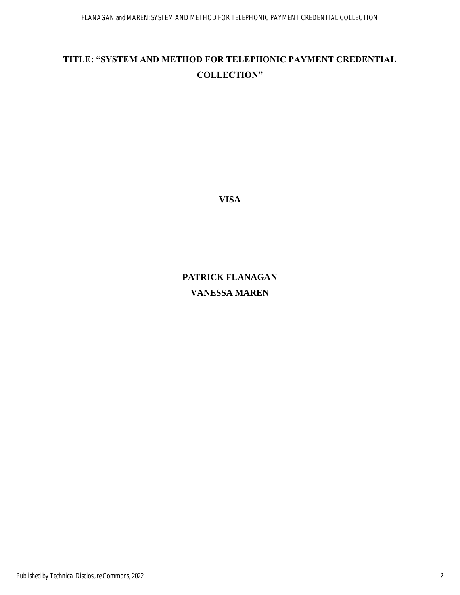### **TITLE: "SYSTEM AND METHOD FOR TELEPHONIC PAYMENT CREDENTIAL COLLECTION"**

**VISA**

# **PATRICK FLANAGAN VANESSA MAREN**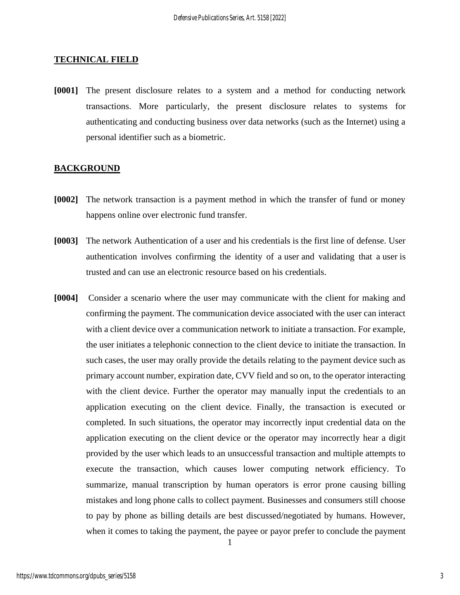#### **TECHNICAL FIELD**

**[0001]** The present disclosure relates to a system and a method for conducting network transactions. More particularly, the present disclosure relates to systems for authenticating and conducting business over data networks (such as the Internet) using a personal identifier such as a biometric.

#### **BACKGROUND**

- **[0002]** The network transaction is a payment method in which the transfer of fund or money happens online over electronic fund transfer.
- **[0003]** The network Authentication of a user and his credentials is the first line of defense. User authentication involves confirming the identity of a user and validating that a user is trusted and can use an electronic resource based on his credentials.
- **[0004]** Consider a scenario where the user may communicate with the client for making and confirming the payment. The communication device associated with the user can interact with a client device over a communication network to initiate a transaction. For example, the user initiates a telephonic connection to the client device to initiate the transaction. In such cases, the user may orally provide the details relating to the payment device such as primary account number, expiration date, CVV field and so on, to the operator interacting with the client device. Further the operator may manually input the credentials to an application executing on the client device. Finally, the transaction is executed or completed. In such situations, the operator may incorrectly input credential data on the application executing on the client device or the operator may incorrectly hear a digit provided by the user which leads to an unsuccessful transaction and multiple attempts to execute the transaction, which causes lower computing network efficiency. To summarize, manual transcription by human operators is error prone causing billing mistakes and long phone calls to collect payment. Businesses and consumers still choose to pay by phone as billing details are best discussed/negotiated by humans. However, when it comes to taking the payment, the payee or payor prefer to conclude the payment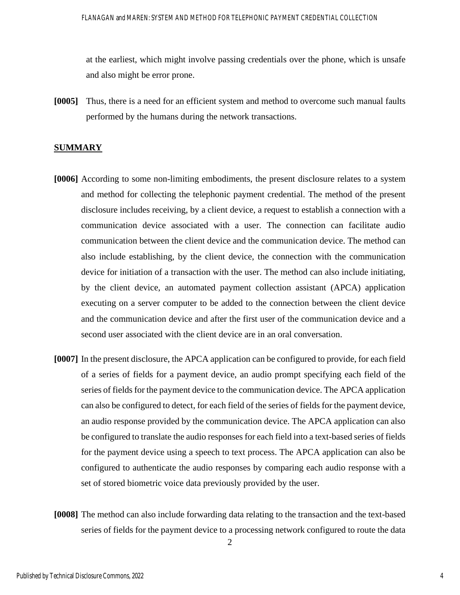at the earliest, which might involve passing credentials over the phone, which is unsafe and also might be error prone.

**[0005]** Thus, there is a need for an efficient system and method to overcome such manual faults performed by the humans during the network transactions.

#### **SUMMARY**

- **[0006]** According to some non-limiting embodiments, the present disclosure relates to a system and method for collecting the telephonic payment credential. The method of the present disclosure includes receiving, by a client device, a request to establish a connection with a communication device associated with a user. The connection can facilitate audio communication between the client device and the communication device. The method can also include establishing, by the client device, the connection with the communication device for initiation of a transaction with the user. The method can also include initiating, by the client device, an automated payment collection assistant (APCA) application executing on a server computer to be added to the connection between the client device and the communication device and after the first user of the communication device and a second user associated with the client device are in an oral conversation.
- **[0007]** In the present disclosure, the APCA application can be configured to provide, for each field of a series of fields for a payment device, an audio prompt specifying each field of the series of fields for the payment device to the communication device. The APCA application can also be configured to detect, for each field of the series of fields for the payment device, an audio response provided by the communication device. The APCA application can also be configured to translate the audio responses for each field into a text-based series of fields for the payment device using a speech to text process. The APCA application can also be configured to authenticate the audio responses by comparing each audio response with a set of stored biometric voice data previously provided by the user.
- **[0008]** The method can also include forwarding data relating to the transaction and the text-based series of fields for the payment device to a processing network configured to route the data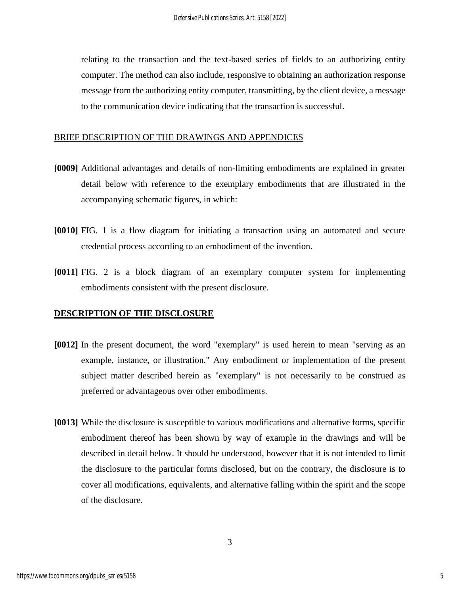relating to the transaction and the text-based series of fields to an authorizing entity computer. The method can also include, responsive to obtaining an authorization response message from the authorizing entity computer, transmitting, by the client device, a message to the communication device indicating that the transaction is successful.

### BRIEF DESCRIPTION OF THE DRAWINGS AND APPENDICES

- **[0009]** Additional advantages and details of non-limiting embodiments are explained in greater detail below with reference to the exemplary embodiments that are illustrated in the accompanying schematic figures, in which:
- **[0010]** FIG. 1 is a flow diagram for initiating a transaction using an automated and secure credential process according to an embodiment of the invention.
- **[0011]** FIG. 2 is a block diagram of an exemplary computer system for implementing embodiments consistent with the present disclosure.

### **DESCRIPTION OF THE DISCLOSURE**

- **[0012]** In the present document, the word "exemplary" is used herein to mean "serving as an example, instance, or illustration." Any embodiment or implementation of the present subject matter described herein as "exemplary" is not necessarily to be construed as preferred or advantageous over other embodiments.
- **[0013]** While the disclosure is susceptible to various modifications and alternative forms, specific embodiment thereof has been shown by way of example in the drawings and will be described in detail below. It should be understood, however that it is not intended to limit the disclosure to the particular forms disclosed, but on the contrary, the disclosure is to cover all modifications, equivalents, and alternative falling within the spirit and the scope of the disclosure.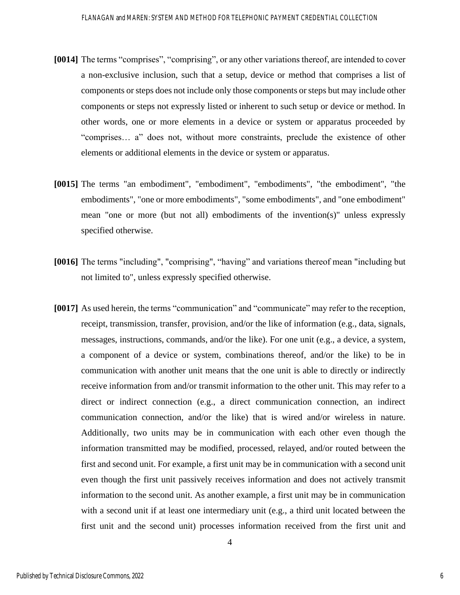- **[0014]** The terms "comprises", "comprising", or any other variations thereof, are intended to cover a non-exclusive inclusion, such that a setup, device or method that comprises a list of components or steps does not include only those components or steps but may include other components or steps not expressly listed or inherent to such setup or device or method. In other words, one or more elements in a device or system or apparatus proceeded by "comprises… a" does not, without more constraints, preclude the existence of other elements or additional elements in the device or system or apparatus.
- **[0015]** The terms "an embodiment", "embodiment", "embodiments", "the embodiment", "the embodiments", "one or more embodiments", "some embodiments", and "one embodiment" mean "one or more (but not all) embodiments of the invention(s)" unless expressly specified otherwise.
- **[0016]** The terms "including", "comprising", "having" and variations thereof mean "including but not limited to", unless expressly specified otherwise.
- **[0017]** As used herein, the terms "communication" and "communicate" may refer to the reception, receipt, transmission, transfer, provision, and/or the like of information (e.g., data, signals, messages, instructions, commands, and/or the like). For one unit (e.g., a device, a system, a component of a device or system, combinations thereof, and/or the like) to be in communication with another unit means that the one unit is able to directly or indirectly receive information from and/or transmit information to the other unit. This may refer to a direct or indirect connection (e.g., a direct communication connection, an indirect communication connection, and/or the like) that is wired and/or wireless in nature. Additionally, two units may be in communication with each other even though the information transmitted may be modified, processed, relayed, and/or routed between the first and second unit. For example, a first unit may be in communication with a second unit even though the first unit passively receives information and does not actively transmit information to the second unit. As another example, a first unit may be in communication with a second unit if at least one intermediary unit (e.g., a third unit located between the first unit and the second unit) processes information received from the first unit and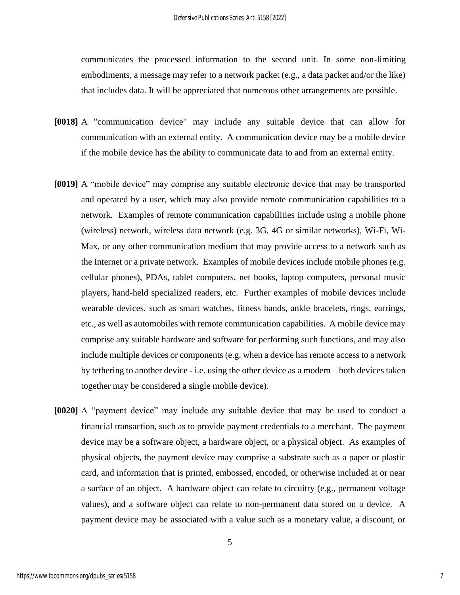communicates the processed information to the second unit. In some non-limiting embodiments, a message may refer to a network packet (e.g., a data packet and/or the like) that includes data. It will be appreciated that numerous other arrangements are possible.

- **[0018]** A "communication device" may include any suitable device that can allow for communication with an external entity. A communication device may be a mobile device if the mobile device has the ability to communicate data to and from an external entity.
- **[0019]** A "mobile device" may comprise any suitable electronic device that may be transported and operated by a user, which may also provide remote communication capabilities to a network. Examples of remote communication capabilities include using a mobile phone (wireless) network, wireless data network (e.g. 3G, 4G or similar networks), Wi-Fi, Wi-Max, or any other communication medium that may provide access to a network such as the Internet or a private network. Examples of mobile devices include mobile phones (e.g. cellular phones), PDAs, tablet computers, net books, laptop computers, personal music players, hand-held specialized readers, etc. Further examples of mobile devices include wearable devices, such as smart watches, fitness bands, ankle bracelets, rings, earrings, etc., as well as automobiles with remote communication capabilities. A mobile device may comprise any suitable hardware and software for performing such functions, and may also include multiple devices or components (e.g. when a device has remote access to a network by tethering to another device - i.e. using the other device as a modem – both devices taken together may be considered a single mobile device).
- **[0020]** A "payment device" may include any suitable device that may be used to conduct a financial transaction, such as to provide payment credentials to a merchant. The payment device may be a software object, a hardware object, or a physical object. As examples of physical objects, the payment device may comprise a substrate such as a paper or plastic card, and information that is printed, embossed, encoded, or otherwise included at or near a surface of an object. A hardware object can relate to circuitry (e.g., permanent voltage values), and a software object can relate to non-permanent data stored on a device. A payment device may be associated with a value such as a monetary value, a discount, or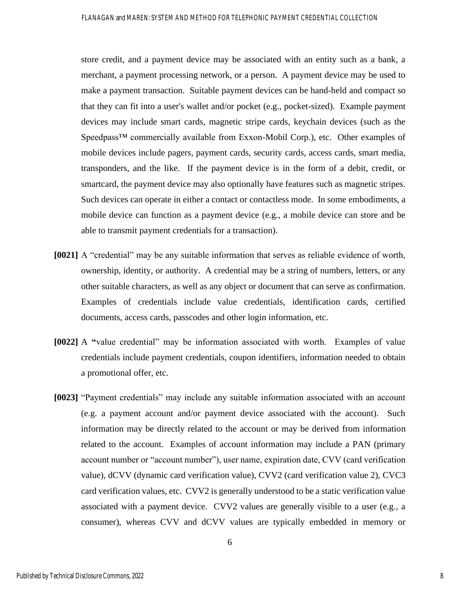store credit, and a payment device may be associated with an entity such as a bank, a merchant, a payment processing network, or a person. A payment device may be used to make a payment transaction. Suitable payment devices can be hand-held and compact so that they can fit into a user's wallet and/or pocket (e.g., pocket-sized). Example payment devices may include smart cards, magnetic stripe cards, keychain devices (such as the Speedpass™ commercially available from Exxon-Mobil Corp.), etc. Other examples of mobile devices include pagers, payment cards, security cards, access cards, smart media, transponders, and the like. If the payment device is in the form of a debit, credit, or smartcard, the payment device may also optionally have features such as magnetic stripes. Such devices can operate in either a contact or contactless mode. In some embodiments, a mobile device can function as a payment device (e.g., a mobile device can store and be able to transmit payment credentials for a transaction).

- **[0021]** A "credential" may be any suitable information that serves as reliable evidence of worth, ownership, identity, or authority. A credential may be a string of numbers, letters, or any other suitable characters, as well as any object or document that can serve as confirmation. Examples of credentials include value credentials, identification cards, certified documents, access cards, passcodes and other login information, etc.
- **[0022]** A **"**value credential" may be information associated with worth. Examples of value credentials include payment credentials, coupon identifiers, information needed to obtain a promotional offer, etc.
- **[0023]** "Payment credentials" may include any suitable information associated with an account (e.g. a payment account and/or payment device associated with the account). Such information may be directly related to the account or may be derived from information related to the account. Examples of account information may include a PAN (primary account number or "account number"), user name, expiration date, CVV (card verification value), dCVV (dynamic card verification value), CVV2 (card verification value 2), CVC3 card verification values, etc. CVV2 is generally understood to be a static verification value associated with a payment device. CVV2 values are generally visible to a user (e.g., a consumer), whereas CVV and dCVV values are typically embedded in memory or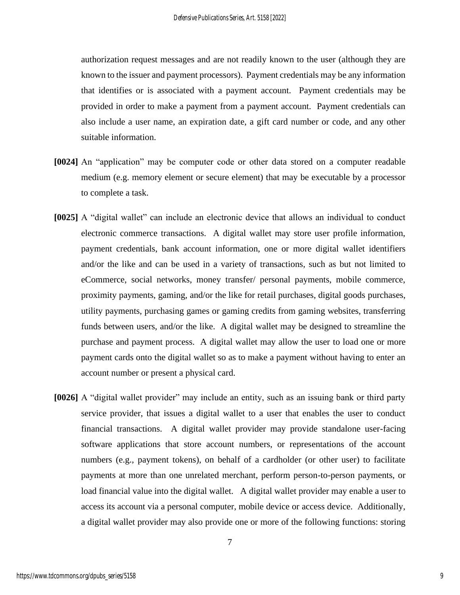authorization request messages and are not readily known to the user (although they are known to the issuer and payment processors). Payment credentials may be any information that identifies or is associated with a payment account. Payment credentials may be provided in order to make a payment from a payment account. Payment credentials can also include a user name, an expiration date, a gift card number or code, and any other suitable information.

- **[0024]** An "application" may be computer code or other data stored on a computer readable medium (e.g. memory element or secure element) that may be executable by a processor to complete a task.
- **[0025]** A "digital wallet" can include an electronic device that allows an individual to conduct electronic commerce transactions. A digital wallet may store user profile information, payment credentials, bank account information, one or more digital wallet identifiers and/or the like and can be used in a variety of transactions, such as but not limited to eCommerce, social networks, money transfer/ personal payments, mobile commerce, proximity payments, gaming, and/or the like for retail purchases, digital goods purchases, utility payments, purchasing games or gaming credits from gaming websites, transferring funds between users, and/or the like. A digital wallet may be designed to streamline the purchase and payment process. A digital wallet may allow the user to load one or more payment cards onto the digital wallet so as to make a payment without having to enter an account number or present a physical card.
- **[0026]** A "digital wallet provider" may include an entity, such as an issuing bank or third party service provider, that issues a digital wallet to a user that enables the user to conduct financial transactions. A digital wallet provider may provide standalone user-facing software applications that store account numbers, or representations of the account numbers (e.g., payment tokens), on behalf of a cardholder (or other user) to facilitate payments at more than one unrelated merchant, perform person-to-person payments, or load financial value into the digital wallet. A digital wallet provider may enable a user to access its account via a personal computer, mobile device or access device. Additionally, a digital wallet provider may also provide one or more of the following functions: storing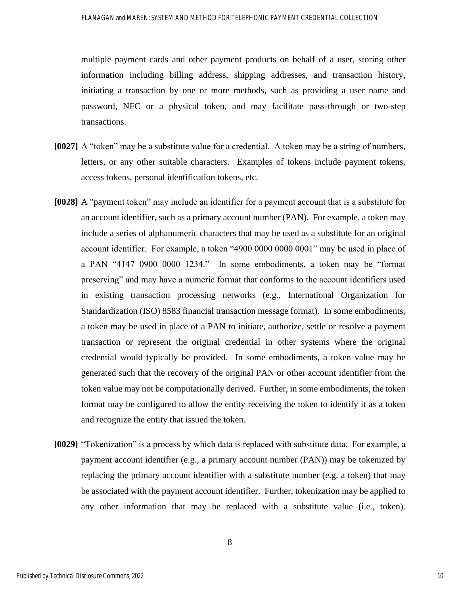multiple payment cards and other payment products on behalf of a user, storing other information including billing address, shipping addresses, and transaction history, initiating a transaction by one or more methods, such as providing a user name and password, NFC or a physical token, and may facilitate pass-through or two-step transactions.

- **[0027]** A "token" may be a substitute value for a credential. A token may be a string of numbers, letters, or any other suitable characters. Examples of tokens include payment tokens, access tokens, personal identification tokens, etc.
- **[0028]** A "payment token" may include an identifier for a payment account that is a substitute for an account identifier, such as a primary account number (PAN). For example, a token may include a series of alphanumeric characters that may be used as a substitute for an original account identifier. For example, a token "4900 0000 0000 0001" may be used in place of a PAN "4147 0900 0000 1234." In some embodiments, a token may be "format preserving" and may have a numeric format that conforms to the account identifiers used in existing transaction processing networks (e.g., International Organization for Standardization (ISO) 8583 financial transaction message format). In some embodiments, a token may be used in place of a PAN to initiate, authorize, settle or resolve a payment transaction or represent the original credential in other systems where the original credential would typically be provided. In some embodiments, a token value may be generated such that the recovery of the original PAN or other account identifier from the token value may not be computationally derived. Further, in some embodiments, the token format may be configured to allow the entity receiving the token to identify it as a token and recognize the entity that issued the token.
- **[0029]** "Tokenization" is a process by which data is replaced with substitute data. For example, a payment account identifier (e.g., a primary account number (PAN)) may be tokenized by replacing the primary account identifier with a substitute number (e.g. a token) that may be associated with the payment account identifier. Further, tokenization may be applied to any other information that may be replaced with a substitute value (i.e., token).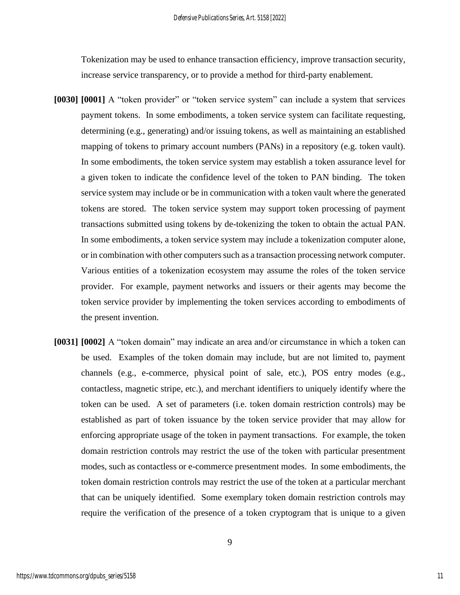Tokenization may be used to enhance transaction efficiency, improve transaction security, increase service transparency, or to provide a method for third-party enablement.

- **[0030] [0001]** A "token provider" or "token service system" can include a system that services payment tokens. In some embodiments, a token service system can facilitate requesting, determining (e.g., generating) and/or issuing tokens, as well as maintaining an established mapping of tokens to primary account numbers (PANs) in a repository (e.g. token vault). In some embodiments, the token service system may establish a token assurance level for a given token to indicate the confidence level of the token to PAN binding. The token service system may include or be in communication with a token vault where the generated tokens are stored. The token service system may support token processing of payment transactions submitted using tokens by de-tokenizing the token to obtain the actual PAN. In some embodiments, a token service system may include a tokenization computer alone, or in combination with other computers such as a transaction processing network computer. Various entities of a tokenization ecosystem may assume the roles of the token service provider. For example, payment networks and issuers or their agents may become the token service provider by implementing the token services according to embodiments of the present invention.
- **[0031] [0002]** A "token domain" may indicate an area and/or circumstance in which a token can be used. Examples of the token domain may include, but are not limited to, payment channels (e.g., e-commerce, physical point of sale, etc.), POS entry modes (e.g., contactless, magnetic stripe, etc.), and merchant identifiers to uniquely identify where the token can be used. A set of parameters (i.e. token domain restriction controls) may be established as part of token issuance by the token service provider that may allow for enforcing appropriate usage of the token in payment transactions. For example, the token domain restriction controls may restrict the use of the token with particular presentment modes, such as contactless or e-commerce presentment modes. In some embodiments, the token domain restriction controls may restrict the use of the token at a particular merchant that can be uniquely identified. Some exemplary token domain restriction controls may require the verification of the presence of a token cryptogram that is unique to a given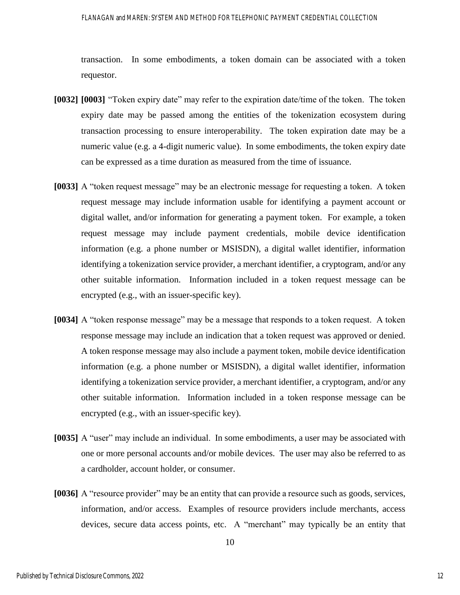#### FLANAGAN and MAREN: SYSTEM AND METHOD FOR TELEPHONIC PAYMENT CREDENTIAL COLLECTION

transaction. In some embodiments, a token domain can be associated with a token requestor.

- **[0032] [0003]** "Token expiry date" may refer to the expiration date/time of the token. The token expiry date may be passed among the entities of the tokenization ecosystem during transaction processing to ensure interoperability. The token expiration date may be a numeric value (e.g. a 4-digit numeric value). In some embodiments, the token expiry date can be expressed as a time duration as measured from the time of issuance.
- **[0033]** A "token request message" may be an electronic message for requesting a token. A token request message may include information usable for identifying a payment account or digital wallet, and/or information for generating a payment token. For example, a token request message may include payment credentials, mobile device identification information (e.g. a phone number or MSISDN), a digital wallet identifier, information identifying a tokenization service provider, a merchant identifier, a cryptogram, and/or any other suitable information. Information included in a token request message can be encrypted (e.g., with an issuer-specific key).
- **[0034]** A "token response message" may be a message that responds to a token request. A token response message may include an indication that a token request was approved or denied. A token response message may also include a payment token, mobile device identification information (e.g. a phone number or MSISDN), a digital wallet identifier, information identifying a tokenization service provider, a merchant identifier, a cryptogram, and/or any other suitable information. Information included in a token response message can be encrypted (e.g., with an issuer-specific key).
- **[0035]** A "user" may include an individual. In some embodiments, a user may be associated with one or more personal accounts and/or mobile devices. The user may also be referred to as a cardholder, account holder, or consumer.
- **[0036]** A "resource provider" may be an entity that can provide a resource such as goods, services, information, and/or access. Examples of resource providers include merchants, access devices, secure data access points, etc.A "merchant" may typically be an entity that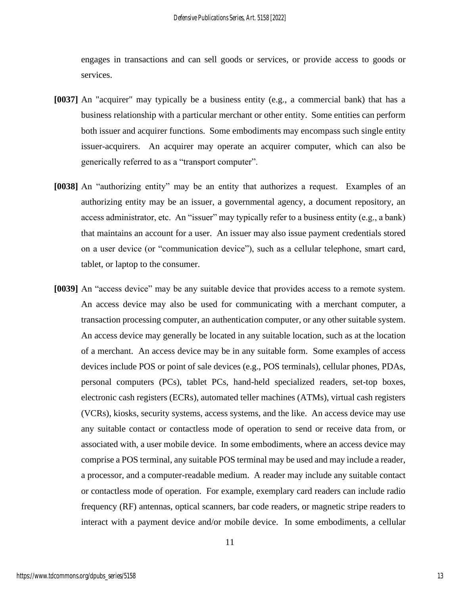engages in transactions and can sell goods or services, or provide access to goods or services.

- **[0037]** An "acquirer" may typically be a business entity (e.g., a commercial bank) that has a business relationship with a particular merchant or other entity. Some entities can perform both issuer and acquirer functions. Some embodiments may encompass such single entity issuer-acquirers. An acquirer may operate an acquirer computer, which can also be generically referred to as a "transport computer".
- **[0038]** An "authorizing entity" may be an entity that authorizes a request. Examples of an authorizing entity may be an issuer, a governmental agency, a document repository, an access administrator, etc. An "issuer" may typically refer to a business entity (e.g., a bank) that maintains an account for a user. An issuer may also issue payment credentials stored on a user device (or "communication device"), such as a cellular telephone, smart card, tablet, or laptop to the consumer.
- **[0039]** An "access device" may be any suitable device that provides access to a remote system. An access device may also be used for communicating with a merchant computer, a transaction processing computer, an authentication computer, or any other suitable system. An access device may generally be located in any suitable location, such as at the location of a merchant. An access device may be in any suitable form. Some examples of access devices include POS or point of sale devices (e.g., POS terminals), cellular phones, PDAs, personal computers (PCs), tablet PCs, hand-held specialized readers, set-top boxes, electronic cash registers (ECRs), automated teller machines (ATMs), virtual cash registers (VCRs), kiosks, security systems, access systems, and the like. An access device may use any suitable contact or contactless mode of operation to send or receive data from, or associated with, a user mobile device. In some embodiments, where an access device may comprise a POS terminal, any suitable POS terminal may be used and may include a reader, a processor, and a computer-readable medium. A reader may include any suitable contact or contactless mode of operation. For example, exemplary card readers can include radio frequency (RF) antennas, optical scanners, bar code readers, or magnetic stripe readers to interact with a payment device and/or mobile device. In some embodiments, a cellular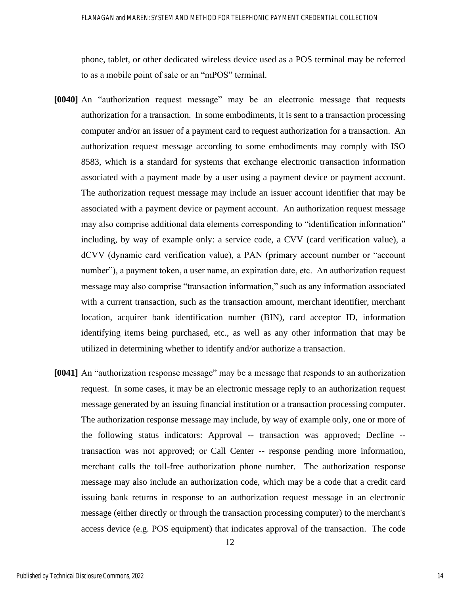phone, tablet, or other dedicated wireless device used as a POS terminal may be referred to as a mobile point of sale or an "mPOS" terminal.

- **[0040]** An "authorization request message" may be an electronic message that requests authorization for a transaction. In some embodiments, it is sent to a transaction processing computer and/or an issuer of a payment card to request authorization for a transaction. An authorization request message according to some embodiments may comply with ISO 8583, which is a standard for systems that exchange electronic transaction information associated with a payment made by a user using a payment device or payment account. The authorization request message may include an issuer account identifier that may be associated with a payment device or payment account. An authorization request message may also comprise additional data elements corresponding to "identification information" including, by way of example only: a service code, a CVV (card verification value), a dCVV (dynamic card verification value), a PAN (primary account number or "account number"), a payment token, a user name, an expiration date, etc. An authorization request message may also comprise "transaction information," such as any information associated with a current transaction, such as the transaction amount, merchant identifier, merchant location, acquirer bank identification number (BIN), card acceptor ID, information identifying items being purchased, etc., as well as any other information that may be utilized in determining whether to identify and/or authorize a transaction.
- **[0041]** An "authorization response message" may be a message that responds to an authorization request. In some cases, it may be an electronic message reply to an authorization request message generated by an issuing financial institution or a transaction processing computer. The authorization response message may include, by way of example only, one or more of the following status indicators: Approval -- transaction was approved; Decline - transaction was not approved; or Call Center -- response pending more information, merchant calls the toll-free authorization phone number. The authorization response message may also include an authorization code, which may be a code that a credit card issuing bank returns in response to an authorization request message in an electronic message (either directly or through the transaction processing computer) to the merchant's access device (e.g. POS equipment) that indicates approval of the transaction. The code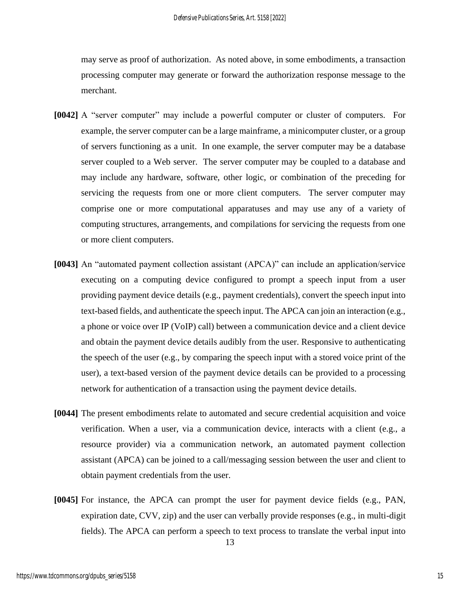may serve as proof of authorization. As noted above, in some embodiments, a transaction processing computer may generate or forward the authorization response message to the merchant.

- **[0042]** A "server computer" may include a powerful computer or cluster of computers. For example, the server computer can be a large mainframe, a minicomputer cluster, or a group of servers functioning as a unit. In one example, the server computer may be a database server coupled to a Web server. The server computer may be coupled to a database and may include any hardware, software, other logic, or combination of the preceding for servicing the requests from one or more client computers. The server computer may comprise one or more computational apparatuses and may use any of a variety of computing structures, arrangements, and compilations for servicing the requests from one or more client computers.
- **[0043]** An "automated payment collection assistant (APCA)" can include an application/service executing on a computing device configured to prompt a speech input from a user providing payment device details (e.g., payment credentials), convert the speech input into text-based fields, and authenticate the speech input. The APCA can join an interaction (e.g., a phone or voice over IP (VoIP) call) between a communication device and a client device and obtain the payment device details audibly from the user. Responsive to authenticating the speech of the user (e.g., by comparing the speech input with a stored voice print of the user), a text-based version of the payment device details can be provided to a processing network for authentication of a transaction using the payment device details.
- **[0044]** The present embodiments relate to automated and secure credential acquisition and voice verification. When a user, via a communication device, interacts with a client (e.g., a resource provider) via a communication network, an automated payment collection assistant (APCA) can be joined to a call/messaging session between the user and client to obtain payment credentials from the user.
- **[0045]** For instance, the APCA can prompt the user for payment device fields (e.g., PAN, expiration date, CVV, zip) and the user can verbally provide responses (e.g., in multi-digit fields). The APCA can perform a speech to text process to translate the verbal input into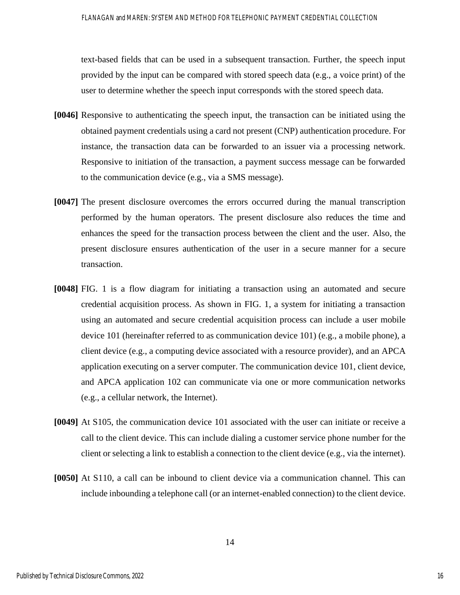text-based fields that can be used in a subsequent transaction. Further, the speech input provided by the input can be compared with stored speech data (e.g., a voice print) of the user to determine whether the speech input corresponds with the stored speech data.

- **[0046]** Responsive to authenticating the speech input, the transaction can be initiated using the obtained payment credentials using a card not present (CNP) authentication procedure. For instance, the transaction data can be forwarded to an issuer via a processing network. Responsive to initiation of the transaction, a payment success message can be forwarded to the communication device (e.g., via a SMS message).
- **[0047]** The present disclosure overcomes the errors occurred during the manual transcription performed by the human operators. The present disclosure also reduces the time and enhances the speed for the transaction process between the client and the user. Also, the present disclosure ensures authentication of the user in a secure manner for a secure transaction.
- **[0048]** FIG. 1 is a flow diagram for initiating a transaction using an automated and secure credential acquisition process. As shown in FIG. 1, a system for initiating a transaction using an automated and secure credential acquisition process can include a user mobile device 101 (hereinafter referred to as communication device 101) (e.g., a mobile phone), a client device (e.g., a computing device associated with a resource provider), and an APCA application executing on a server computer. The communication device 101, client device, and APCA application 102 can communicate via one or more communication networks (e.g., a cellular network, the Internet).
- **[0049]** At S105, the communication device 101 associated with the user can initiate or receive a call to the client device. This can include dialing a customer service phone number for the client or selecting a link to establish a connection to the client device (e.g., via the internet).
- **[0050]** At S110, a call can be inbound to client device via a communication channel. This can include inbounding a telephone call (or an internet-enabled connection) to the client device.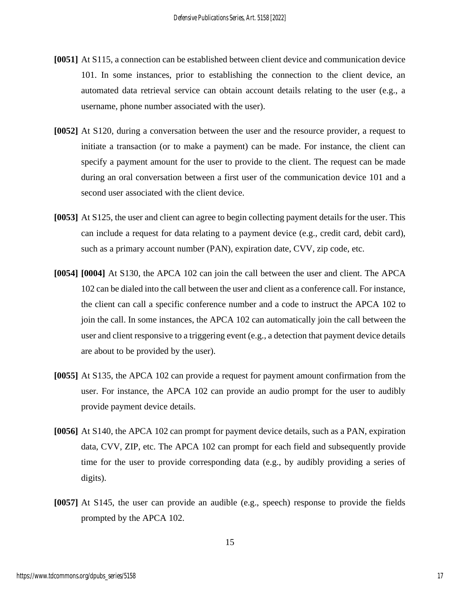- **[0051]** At S115, a connection can be established between client device and communication device 101. In some instances, prior to establishing the connection to the client device, an automated data retrieval service can obtain account details relating to the user (e.g., a username, phone number associated with the user).
- **[0052]** At S120, during a conversation between the user and the resource provider, a request to initiate a transaction (or to make a payment) can be made. For instance, the client can specify a payment amount for the user to provide to the client. The request can be made during an oral conversation between a first user of the communication device 101 and a second user associated with the client device.
- **[0053]** At S125, the user and client can agree to begin collecting payment details for the user. This can include a request for data relating to a payment device (e.g., credit card, debit card), such as a primary account number (PAN), expiration date, CVV, zip code, etc.
- **[0054] [0004]** At S130, the APCA 102 can join the call between the user and client. The APCA 102 can be dialed into the call between the user and client as a conference call. For instance, the client can call a specific conference number and a code to instruct the APCA 102 to join the call. In some instances, the APCA 102 can automatically join the call between the user and client responsive to a triggering event (e.g., a detection that payment device details are about to be provided by the user).
- **[0055]** At S135, the APCA 102 can provide a request for payment amount confirmation from the user. For instance, the APCA 102 can provide an audio prompt for the user to audibly provide payment device details.
- **[0056]** At S140, the APCA 102 can prompt for payment device details, such as a PAN, expiration data, CVV, ZIP, etc. The APCA 102 can prompt for each field and subsequently provide time for the user to provide corresponding data (e.g., by audibly providing a series of digits).
- **[0057]** At S145, the user can provide an audible (e.g., speech) response to provide the fields prompted by the APCA 102.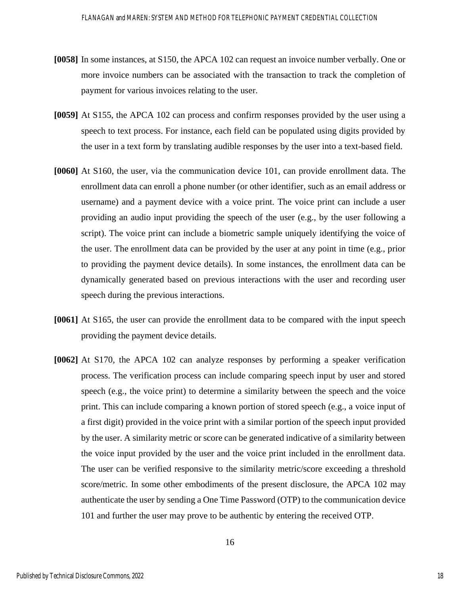- **[0058]** In some instances, at S150, the APCA 102 can request an invoice number verbally. One or more invoice numbers can be associated with the transaction to track the completion of payment for various invoices relating to the user.
- **[0059]** At S155, the APCA 102 can process and confirm responses provided by the user using a speech to text process. For instance, each field can be populated using digits provided by the user in a text form by translating audible responses by the user into a text-based field.
- **[0060]** At S160, the user, via the communication device 101, can provide enrollment data. The enrollment data can enroll a phone number (or other identifier, such as an email address or username) and a payment device with a voice print. The voice print can include a user providing an audio input providing the speech of the user (e.g., by the user following a script). The voice print can include a biometric sample uniquely identifying the voice of the user. The enrollment data can be provided by the user at any point in time (e.g., prior to providing the payment device details). In some instances, the enrollment data can be dynamically generated based on previous interactions with the user and recording user speech during the previous interactions.
- **[0061]** At S165, the user can provide the enrollment data to be compared with the input speech providing the payment device details.
- **[0062]** At S170, the APCA 102 can analyze responses by performing a speaker verification process. The verification process can include comparing speech input by user and stored speech (e.g., the voice print) to determine a similarity between the speech and the voice print. This can include comparing a known portion of stored speech (e.g., a voice input of a first digit) provided in the voice print with a similar portion of the speech input provided by the user. A similarity metric or score can be generated indicative of a similarity between the voice input provided by the user and the voice print included in the enrollment data. The user can be verified responsive to the similarity metric/score exceeding a threshold score/metric. In some other embodiments of the present disclosure, the APCA 102 may authenticate the user by sending a One Time Password (OTP) to the communication device 101 and further the user may prove to be authentic by entering the received OTP.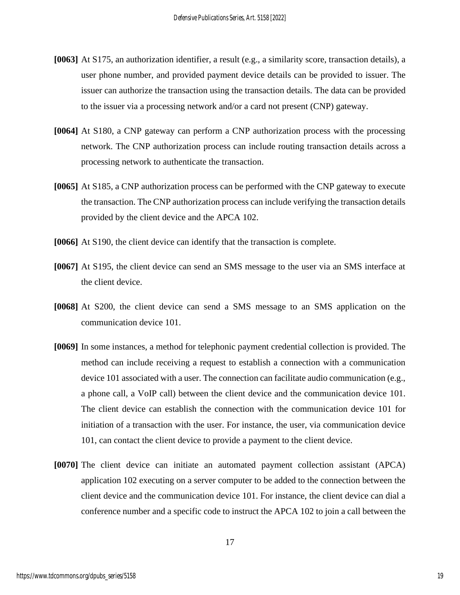- **[0063]** At S175, an authorization identifier, a result (e.g., a similarity score, transaction details), a user phone number, and provided payment device details can be provided to issuer. The issuer can authorize the transaction using the transaction details. The data can be provided to the issuer via a processing network and/or a card not present (CNP) gateway.
- **[0064]** At S180, a CNP gateway can perform a CNP authorization process with the processing network. The CNP authorization process can include routing transaction details across a processing network to authenticate the transaction.
- **[0065]** At S185, a CNP authorization process can be performed with the CNP gateway to execute the transaction. The CNP authorization process can include verifying the transaction details provided by the client device and the APCA 102.
- **[0066]** At S190, the client device can identify that the transaction is complete.
- **[0067]** At S195, the client device can send an SMS message to the user via an SMS interface at the client device.
- **[0068]** At S200, the client device can send a SMS message to an SMS application on the communication device 101.
- **[0069]** In some instances, a method for telephonic payment credential collection is provided. The method can include receiving a request to establish a connection with a communication device 101 associated with a user. The connection can facilitate audio communication (e.g., a phone call, a VoIP call) between the client device and the communication device 101. The client device can establish the connection with the communication device 101 for initiation of a transaction with the user. For instance, the user, via communication device 101, can contact the client device to provide a payment to the client device.
- **[0070]** The client device can initiate an automated payment collection assistant (APCA) application 102 executing on a server computer to be added to the connection between the client device and the communication device 101. For instance, the client device can dial a conference number and a specific code to instruct the APCA 102 to join a call between the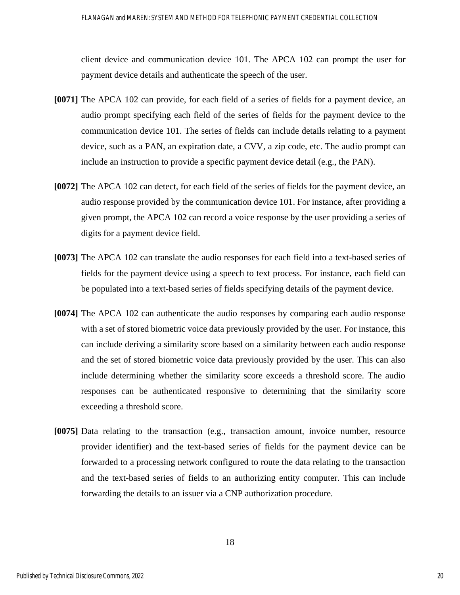client device and communication device 101. The APCA 102 can prompt the user for payment device details and authenticate the speech of the user.

- **[0071]** The APCA 102 can provide, for each field of a series of fields for a payment device, an audio prompt specifying each field of the series of fields for the payment device to the communication device 101. The series of fields can include details relating to a payment device, such as a PAN, an expiration date, a CVV, a zip code, etc. The audio prompt can include an instruction to provide a specific payment device detail (e.g., the PAN).
- **[0072]** The APCA 102 can detect, for each field of the series of fields for the payment device, an audio response provided by the communication device 101. For instance, after providing a given prompt, the APCA 102 can record a voice response by the user providing a series of digits for a payment device field.
- **[0073]** The APCA 102 can translate the audio responses for each field into a text-based series of fields for the payment device using a speech to text process. For instance, each field can be populated into a text-based series of fields specifying details of the payment device.
- **[0074]** The APCA 102 can authenticate the audio responses by comparing each audio response with a set of stored biometric voice data previously provided by the user. For instance, this can include deriving a similarity score based on a similarity between each audio response and the set of stored biometric voice data previously provided by the user. This can also include determining whether the similarity score exceeds a threshold score. The audio responses can be authenticated responsive to determining that the similarity score exceeding a threshold score.
- **[0075]** Data relating to the transaction (e.g., transaction amount, invoice number, resource provider identifier) and the text-based series of fields for the payment device can be forwarded to a processing network configured to route the data relating to the transaction and the text-based series of fields to an authorizing entity computer. This can include forwarding the details to an issuer via a CNP authorization procedure.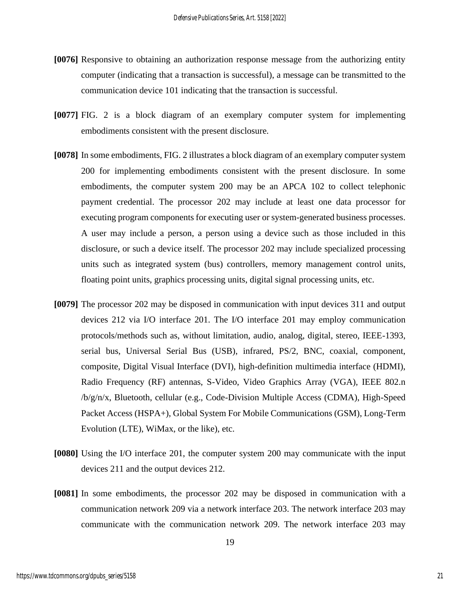- **[0076]** Responsive to obtaining an authorization response message from the authorizing entity computer (indicating that a transaction is successful), a message can be transmitted to the communication device 101 indicating that the transaction is successful.
- **[0077]** FIG. 2 is a block diagram of an exemplary computer system for implementing embodiments consistent with the present disclosure.
- **[0078]** In some embodiments, FIG. 2 illustrates a block diagram of an exemplary computer system 200 for implementing embodiments consistent with the present disclosure. In some embodiments, the computer system 200 may be an APCA 102 to collect telephonic payment credential. The processor 202 may include at least one data processor for executing program components for executing user or system-generated business processes. A user may include a person, a person using a device such as those included in this disclosure, or such a device itself. The processor 202 may include specialized processing units such as integrated system (bus) controllers, memory management control units, floating point units, graphics processing units, digital signal processing units, etc.
- **[0079]** The processor 202 may be disposed in communication with input devices 311 and output devices 212 via I/O interface 201. The I/O interface 201 may employ communication protocols/methods such as, without limitation, audio, analog, digital, stereo, IEEE-1393, serial bus, Universal Serial Bus (USB), infrared, PS/2, BNC, coaxial, component, composite, Digital Visual Interface (DVI), high-definition multimedia interface (HDMI), Radio Frequency (RF) antennas, S-Video, Video Graphics Array (VGA), IEEE 802.n /b/g/n/x, Bluetooth, cellular (e.g., Code-Division Multiple Access (CDMA), High-Speed Packet Access (HSPA+), Global System For Mobile Communications (GSM), Long-Term Evolution (LTE), WiMax, or the like), etc.
- **[0080]** Using the I/O interface 201, the computer system 200 may communicate with the input devices 211 and the output devices 212.
- **[0081]** In some embodiments, the processor 202 may be disposed in communication with a communication network 209 via a network interface 203. The network interface 203 may communicate with the communication network 209. The network interface 203 may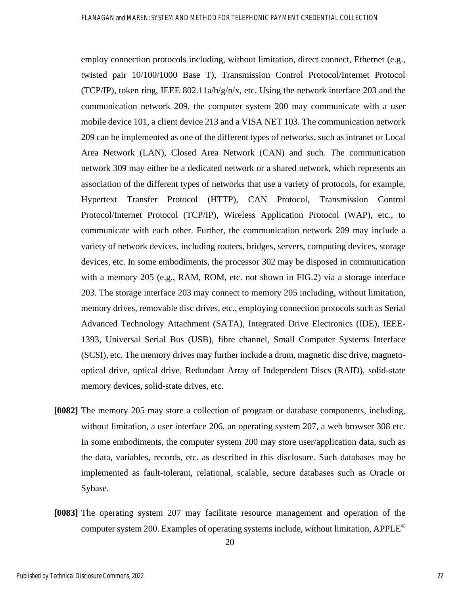employ connection protocols including, without limitation, direct connect, Ethernet (e.g., twisted pair 10/100/1000 Base T), Transmission Control Protocol/Internet Protocol (TCP/IP), token ring, IEEE 802.11a/b/g/n/x, etc. Using the network interface 203 and the communication network 209, the computer system 200 may communicate with a user mobile device 101, a client device 213 and a VISA NET 103. The communication network 209 can be implemented as one of the different types of networks, such as intranet or Local Area Network (LAN), Closed Area Network (CAN) and such. The communication network 309 may either be a dedicated network or a shared network, which represents an association of the different types of networks that use a variety of protocols, for example, Hypertext Transfer Protocol (HTTP), CAN Protocol, Transmission Control Protocol/Internet Protocol (TCP/IP), Wireless Application Protocol (WAP), etc., to communicate with each other. Further, the communication network 209 may include a variety of network devices, including routers, bridges, servers, computing devices, storage devices, etc. In some embodiments, the processor 302 may be disposed in communication with a memory 205 (e.g., RAM, ROM, etc. not shown in FIG.2) via a storage interface 203. The storage interface 203 may connect to memory 205 including, without limitation, memory drives, removable disc drives, etc., employing connection protocols such as Serial Advanced Technology Attachment (SATA), Integrated Drive Electronics (IDE), IEEE-1393, Universal Serial Bus (USB), fibre channel, Small Computer Systems Interface (SCSI), etc. The memory drives may further include a drum, magnetic disc drive, magnetooptical drive, optical drive, Redundant Array of Independent Discs (RAID), solid-state memory devices, solid-state drives, etc.

- **[0082]** The memory 205 may store a collection of program or database components, including, without limitation, a user interface 206, an operating system 207, a web browser 308 etc. In some embodiments, the computer system 200 may store user/application data, such as the data, variables, records, etc. as described in this disclosure. Such databases may be implemented as fault-tolerant, relational, scalable, secure databases such as Oracle or Sybase.
- **[0083]** The operating system 207 may facilitate resource management and operation of the computer system 200. Examples of operating systems include, without limitation, APPLE®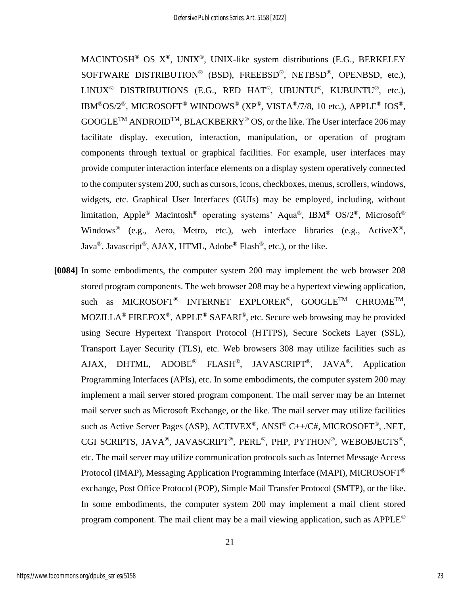MACINTOSH® OS  $X^{\circledast}$ , UNIX<sup>®</sup>, UNIX-like system distributions (E.G., BERKELEY SOFTWARE DISTRIBUTION® (BSD), FREEBSD®, NETBSD®, OPENBSD, etc.), LINUX<sup>®</sup> DISTRIBUTIONS (E.G., RED HAT<sup>®</sup>, UBUNTU<sup>®</sup>, KUBUNTU<sup>®</sup>, etc.), IBM®OS/2®, MICROSOFT® WINDOWS® (XP®, VISTA®/7/8, 10 etc.), APPLE® IOS®,  $GOOGLE^{TM} ANDROID^{TM}, BLACKBERY^@OS, or the like. The User interface 206 may$ facilitate display, execution, interaction, manipulation, or operation of program components through textual or graphical facilities. For example, user interfaces may provide computer interaction interface elements on a display system operatively connected to the computer system 200, such as cursors, icons, checkboxes, menus, scrollers, windows, widgets, etc. Graphical User Interfaces (GUIs) may be employed, including, without limitation, Apple<sup>®</sup> Macintosh<sup>®</sup> operating systems' Aqua<sup>®</sup>, IBM<sup>®</sup> OS/2<sup>®</sup>, Microsoft<sup>®</sup> Windows<sup>®</sup> (e.g., Aero, Metro, etc.), web interface libraries (e.g., Active $X^{\mathcal{B}}$ , Java®, Javascript®, AJAX, HTML, Adobe® Flash®, etc.), or the like.

**[0084]** In some embodiments, the computer system 200 may implement the web browser 208 stored program components. The web browser 208 may be a hypertext viewing application, such as MICROSOFT<sup>®</sup> INTERNET EXPLORER<sup>®</sup>, GOOGLE<sup>TM</sup> CHROME<sup>TM</sup>, MOZILLA® FIREFOX®, APPLE® SAFARI®, etc. Secure web browsing may be provided using Secure Hypertext Transport Protocol (HTTPS), Secure Sockets Layer (SSL), Transport Layer Security (TLS), etc. Web browsers 308 may utilize facilities such as AJAX, DHTML, ADOBE® FLASH®, JAVASCRIPT®, JAVA®, Application Programming Interfaces (APIs), etc. In some embodiments, the computer system 200 may implement a mail server stored program component. The mail server may be an Internet mail server such as Microsoft Exchange, or the like. The mail server may utilize facilities such as Active Server Pages (ASP), ACTIVEX<sup>®</sup>, ANSI<sup>®</sup> C++/C#, MICROSOFT<sup>®</sup>, .NET, CGI SCRIPTS, JAVA®, JAVASCRIPT®, PERL®, PHP, PYTHON®, WEBOBJECTS®, etc. The mail server may utilize communication protocols such as Internet Message Access Protocol (IMAP), Messaging Application Programming Interface (MAPI), MICROSOFT® exchange, Post Office Protocol (POP), Simple Mail Transfer Protocol (SMTP), or the like. In some embodiments, the computer system 200 may implement a mail client stored program component. The mail client may be a mail viewing application, such as APPLE®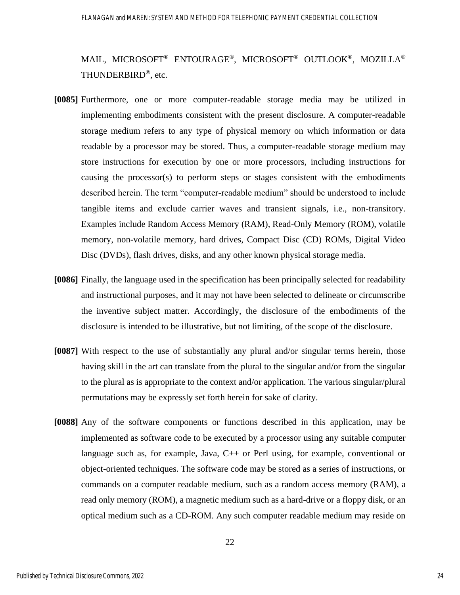MAIL, MICROSOFT® ENTOURAGE®, MICROSOFT® OUTLOOK®, MOZILLA® THUNDERBIRD®, etc.

- **[0085]** Furthermore, one or more computer-readable storage media may be utilized in implementing embodiments consistent with the present disclosure. A computer-readable storage medium refers to any type of physical memory on which information or data readable by a processor may be stored. Thus, a computer-readable storage medium may store instructions for execution by one or more processors, including instructions for causing the processor(s) to perform steps or stages consistent with the embodiments described herein. The term "computer-readable medium" should be understood to include tangible items and exclude carrier waves and transient signals, i.e., non-transitory. Examples include Random Access Memory (RAM), Read-Only Memory (ROM), volatile memory, non-volatile memory, hard drives, Compact Disc (CD) ROMs, Digital Video Disc (DVDs), flash drives, disks, and any other known physical storage media.
- **[0086]** Finally, the language used in the specification has been principally selected for readability and instructional purposes, and it may not have been selected to delineate or circumscribe the inventive subject matter. Accordingly, the disclosure of the embodiments of the disclosure is intended to be illustrative, but not limiting, of the scope of the disclosure.
- **[0087]** With respect to the use of substantially any plural and/or singular terms herein, those having skill in the art can translate from the plural to the singular and/or from the singular to the plural as is appropriate to the context and/or application. The various singular/plural permutations may be expressly set forth herein for sake of clarity.
- **[0088]** Any of the software components or functions described in this application, may be implemented as software code to be executed by a processor using any suitable computer language such as, for example, Java, C++ or Perl using, for example, conventional or object-oriented techniques. The software code may be stored as a series of instructions, or commands on a computer readable medium, such as a random access memory (RAM), a read only memory (ROM), a magnetic medium such as a hard-drive or a floppy disk, or an optical medium such as a CD-ROM. Any such computer readable medium may reside on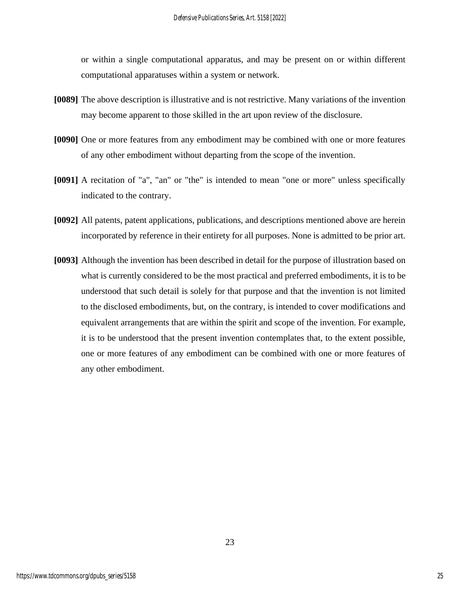or within a single computational apparatus, and may be present on or within different computational apparatuses within a system or network.

- **[0089]** The above description is illustrative and is not restrictive. Many variations of the invention may become apparent to those skilled in the art upon review of the disclosure.
- **[0090]** One or more features from any embodiment may be combined with one or more features of any other embodiment without departing from the scope of the invention.
- **[0091]** A recitation of "a", "an" or "the" is intended to mean "one or more" unless specifically indicated to the contrary.
- **[0092]** All patents, patent applications, publications, and descriptions mentioned above are herein incorporated by reference in their entirety for all purposes. None is admitted to be prior art.
- **[0093]** Although the invention has been described in detail for the purpose of illustration based on what is currently considered to be the most practical and preferred embodiments, it is to be understood that such detail is solely for that purpose and that the invention is not limited to the disclosed embodiments, but, on the contrary, is intended to cover modifications and equivalent arrangements that are within the spirit and scope of the invention. For example, it is to be understood that the present invention contemplates that, to the extent possible, one or more features of any embodiment can be combined with one or more features of any other embodiment.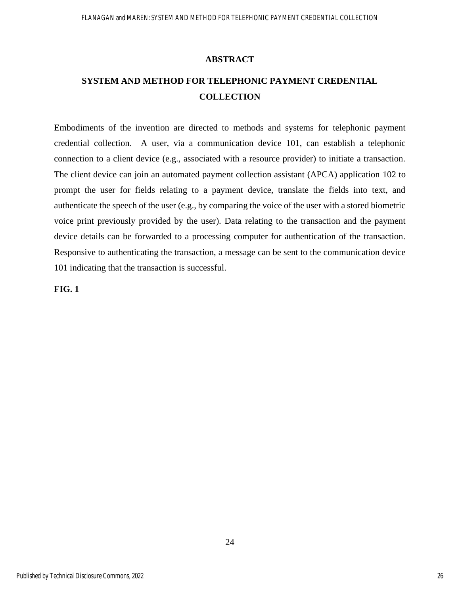#### **ABSTRACT**

### **SYSTEM AND METHOD FOR TELEPHONIC PAYMENT CREDENTIAL COLLECTION**

Embodiments of the invention are directed to methods and systems for telephonic payment credential collection. A user, via a communication device 101, can establish a telephonic connection to a client device (e.g., associated with a resource provider) to initiate a transaction. The client device can join an automated payment collection assistant (APCA) application 102 to prompt the user for fields relating to a payment device, translate the fields into text, and authenticate the speech of the user (e.g., by comparing the voice of the user with a stored biometric voice print previously provided by the user). Data relating to the transaction and the payment device details can be forwarded to a processing computer for authentication of the transaction. Responsive to authenticating the transaction, a message can be sent to the communication device 101 indicating that the transaction is successful.

24

**FIG. 1**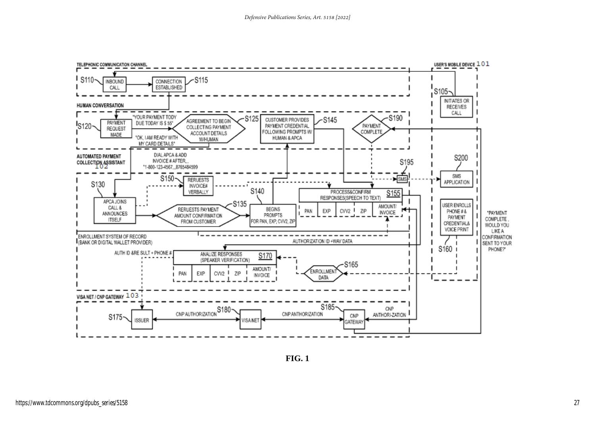

**FIG. 1**